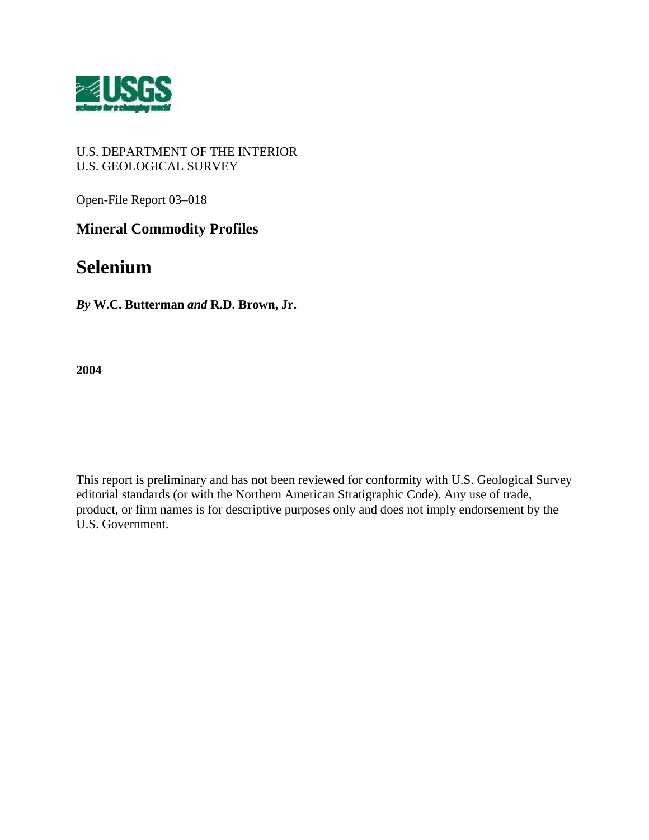

## U.S. DEPARTMENT OF THE INTERIOR U.S. GEOLOGICAL SURVEY

Open-File Report 03–018

## **Mineral Commodity Profiles**

# **Selenium**

*By* **W.C. Butterman** *and* **R.D. Brown, Jr.** 

**2004** 

This report is preliminary and has not been reviewed for conformity with U.S. Geological Survey editorial standards (or with the Northern American Stratigraphic Code). Any use of trade, product, or firm names is for descriptive purposes only and does not imply endorsement by the U.S. Government.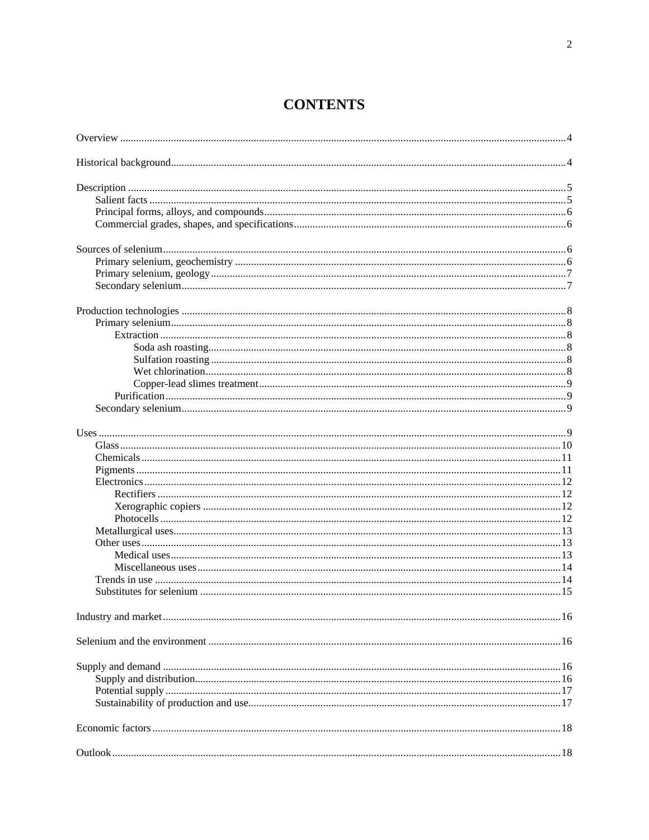# **CONTENTS**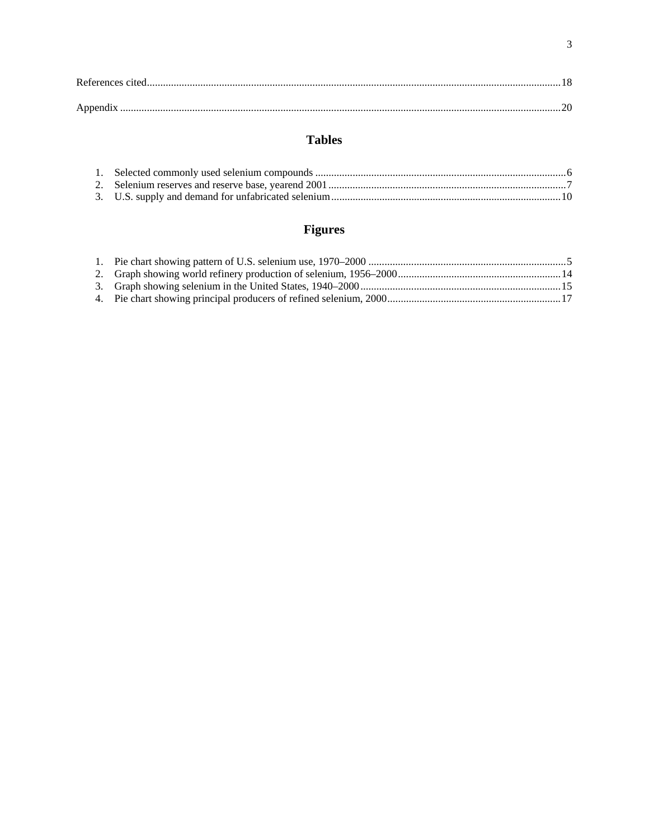## **Tables**

# Figures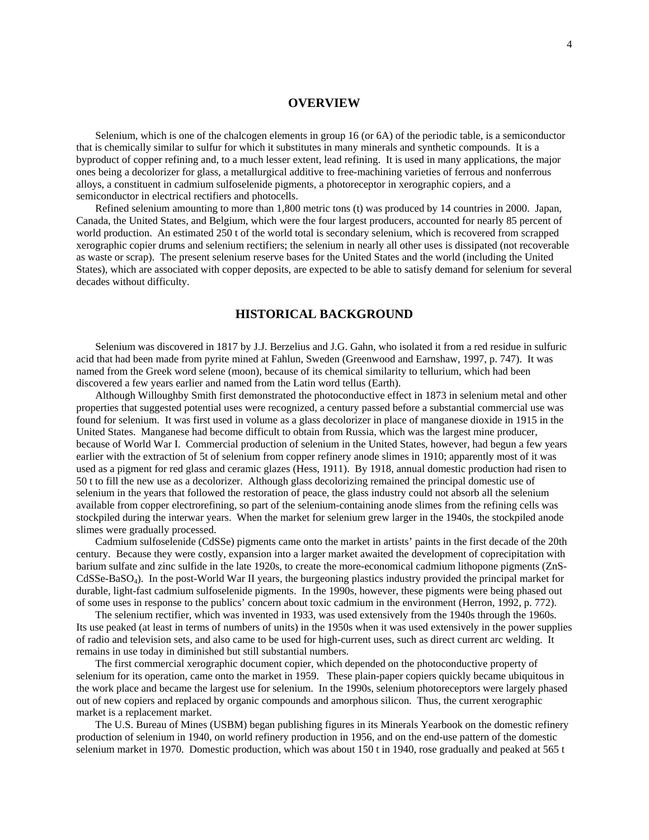## **OVERVIEW**

Selenium, which is one of the chalcogen elements in group 16 (or 6A) of the periodic table, is a semiconductor that is chemically similar to sulfur for which it substitutes in many minerals and synthetic compounds. It is a byproduct of copper refining and, to a much lesser extent, lead refining. It is used in many applications, the major ones being a decolorizer for glass, a metallurgical additive to free-machining varieties of ferrous and nonferrous alloys, a constituent in cadmium sulfoselenide pigments, a photoreceptor in xerographic copiers, and a semiconductor in electrical rectifiers and photocells.

Refined selenium amounting to more than 1,800 metric tons (t) was produced by 14 countries in 2000. Japan, Canada, the United States, and Belgium, which were the four largest producers, accounted for nearly 85 percent of world production. An estimated 250 t of the world total is secondary selenium, which is recovered from scrapped xerographic copier drums and selenium rectifiers; the selenium in nearly all other uses is dissipated (not recoverable as waste or scrap). The present selenium reserve bases for the United States and the world (including the United States), which are associated with copper deposits, are expected to be able to satisfy demand for selenium for several decades without difficulty.

## **HISTORICAL BACKGROUND**

Selenium was discovered in 1817 by J.J. Berzelius and J.G. Gahn, who isolated it from a red residue in sulfuric acid that had been made from pyrite mined at Fahlun, Sweden (Greenwood and Earnshaw, 1997, p. 747). It was named from the Greek word selene (moon), because of its chemical similarity to tellurium, which had been discovered a few years earlier and named from the Latin word tellus (Earth).

Although Willoughby Smith first demonstrated the photoconductive effect in 1873 in selenium metal and other properties that suggested potential uses were recognized, a century passed before a substantial commercial use was found for selenium. It was first used in volume as a glass decolorizer in place of manganese dioxide in 1915 in the United States. Manganese had become difficult to obtain from Russia, which was the largest mine producer, because of World War I. Commercial production of selenium in the United States, however, had begun a few years earlier with the extraction of 5t of selenium from copper refinery anode slimes in 1910; apparently most of it was used as a pigment for red glass and ceramic glazes (Hess, 1911). By 1918, annual domestic production had risen to 50 t to fill the new use as a decolorizer. Although glass decolorizing remained the principal domestic use of selenium in the years that followed the restoration of peace, the glass industry could not absorb all the selenium available from copper electrorefining, so part of the selenium-containing anode slimes from the refining cells was stockpiled during the interwar years. When the market for selenium grew larger in the 1940s, the stockpiled anode slimes were gradually processed.

Cadmium sulfoselenide (CdSSe) pigments came onto the market in artists' paints in the first decade of the 20th century. Because they were costly, expansion into a larger market awaited the development of coprecipitation with barium sulfate and zinc sulfide in the late 1920s, to create the more-economical cadmium lithopone pigments (ZnS-CdSSe-BaSO4). In the post-World War II years, the burgeoning plastics industry provided the principal market for durable, light-fast cadmium sulfoselenide pigments. In the 1990s, however, these pigments were being phased out of some uses in response to the publics' concern about toxic cadmium in the environment (Herron, 1992, p. 772).

The selenium rectifier, which was invented in 1933, was used extensively from the 1940s through the 1960s. Its use peaked (at least in terms of numbers of units) in the 1950s when it was used extensively in the power supplies of radio and television sets, and also came to be used for high-current uses, such as direct current arc welding. It remains in use today in diminished but still substantial numbers.

The first commercial xerographic document copier, which depended on the photoconductive property of selenium for its operation, came onto the market in 1959. These plain-paper copiers quickly became ubiquitous in the work place and became the largest use for selenium. In the 1990s, selenium photoreceptors were largely phased out of new copiers and replaced by organic compounds and amorphous silicon. Thus, the current xerographic market is a replacement market.

The U.S. Bureau of Mines (USBM) began publishing figures in its Minerals Yearbook on the domestic refinery production of selenium in 1940, on world refinery production in 1956, and on the end-use pattern of the domestic selenium market in 1970. Domestic production, which was about 150 t in 1940, rose gradually and peaked at 565 t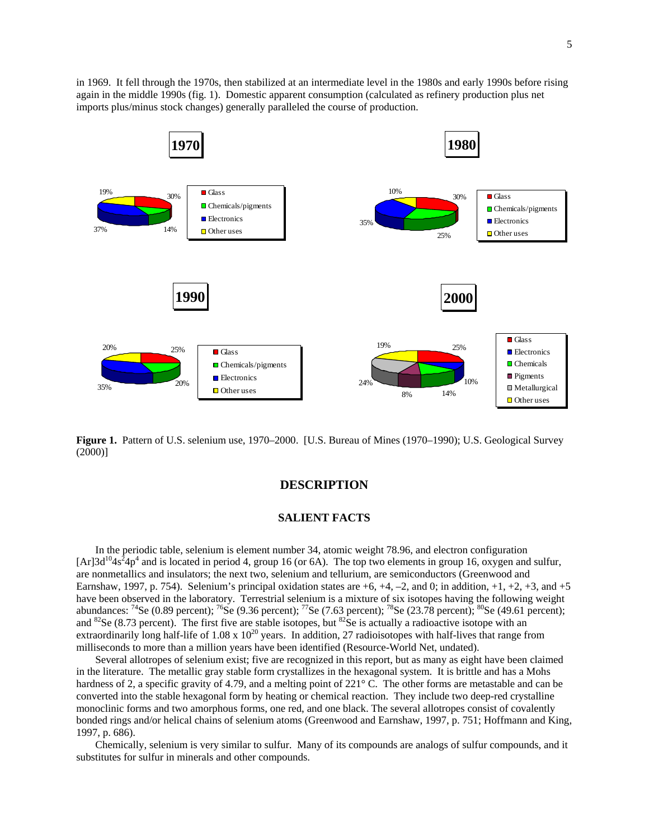in 1969. It fell through the 1970s, then stabilized at an intermediate level in the 1980s and early 1990s before rising again in the middle 1990s (fig. 1). Domestic apparent consumption (calculated as refinery production plus net imports plus/minus stock changes) generally paralleled the course of production.



**Figure 1.** Pattern of U.S. selenium use, 1970–2000. [U.S. Bureau of Mines (1970–1990); U.S. Geological Survey (2000)]

## **DESCRIPTION**

## **SALIENT FACTS**

In the periodic table, selenium is element number 34, atomic weight 78.96, and electron configuration [Ar]3d<sup>10</sup>4s<sup>2</sup>4p<sup>4</sup> and is located in period 4, group 16 (or 6A). The top two elements in group 16, oxygen and sulfur, are nonmetallics and insulators; the next two, selenium and tellurium, are semiconductors (Greenwood and Earnshaw, 1997, p. 754). Selenium's principal oxidation states are  $+6$ ,  $+4$ ,  $-2$ , and 0; in addition,  $+1$ ,  $+2$ ,  $+3$ , and  $+5$ have been observed in the laboratory. Terrestrial selenium is a mixture of six isotopes having the following weight abundances:  $^{74}$ Se (0.89 percent);  $^{76}$ Se (9.36 percent);  $^{77}$ Se (7.63 percent);  $^{78}$ Se (23.78 percent);  $^{80}$ Se (49.61 percent); and  ${}^{82}$ Se (8.73 percent). The first five are stable isotopes, but  ${}^{82}$ Se is actually a radioactive isotope with an extraordinarily long half-life of  $1.08 \times 10^{20}$  years. In addition, 27 radioisotopes with half-lives that range from milliseconds to more than a million years have been identified (Resource-World Net, undated).

Several allotropes of selenium exist; five are recognized in this report, but as many as eight have been claimed in the literature. The metallic gray stable form crystallizes in the hexagonal system. It is brittle and has a Mohs hardness of 2, a specific gravity of 4.79, and a melting point of 221<sup>°</sup> C. The other forms are metastable and can be converted into the stable hexagonal form by heating or chemical reaction. They include two deep-red crystalline monoclinic forms and two amorphous forms, one red, and one black. The several allotropes consist of covalently bonded rings and/or helical chains of selenium atoms (Greenwood and Earnshaw, 1997, p. 751; Hoffmann and King, 1997, p. 686).

Chemically, selenium is very similar to sulfur. Many of its compounds are analogs of sulfur compounds, and it substitutes for sulfur in minerals and other compounds.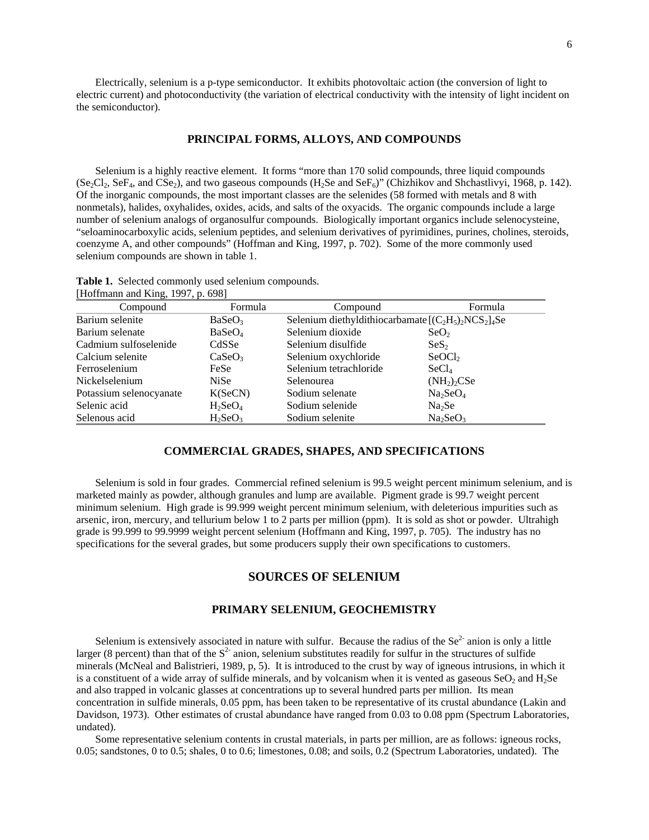Electrically, selenium is a p-type semiconductor. It exhibits photovoltaic action (the conversion of light to electric current) and photoconductivity (the variation of electrical conductivity with the intensity of light incident on the semiconductor).

## **PRINCIPAL FORMS, ALLOYS, AND COMPOUNDS**

Selenium is a highly reactive element. It forms "more than 170 solid compounds, three liquid compounds  $(Se_2Cl_2, SeF_4, and CSe_2)$ , and two gaseous compounds  $(H_2Se$  and  $SeF_6)$ " (Chizhikov and Shchastlivyi, 1968, p. 142). Of the inorganic compounds, the most important classes are the selenides (58 formed with metals and 8 with nonmetals), halides, oxyhalides, oxides, acids, and salts of the oxyacids. The organic compounds include a large number of selenium analogs of organosulfur compounds. Biologically important organics include selenocysteine, "seloaminocarboxylic acids, selenium peptides, and selenium derivatives of pyrimidines, purines, cholines, steroids, coenzyme A, and other compounds" (Hoffman and King, 1997, p. 702). Some of the more commonly used selenium compounds are shown in table 1.

**Table 1.** Selected commonly used selenium compounds. [Hoffmann and King, 1997, p. 698]

| Compound                | Formula                | Compound                                                | Formula                             |
|-------------------------|------------------------|---------------------------------------------------------|-------------------------------------|
| Barium selenite         | BaSeO <sub>3</sub>     | Selenium diethyldithiocarbamate $[(C_2H_5)_2NCS_2]_4Se$ |                                     |
| Barium selenate         | BaSeO <sub>4</sub>     | Selenium dioxide                                        | SeO <sub>2</sub>                    |
| Cadmium sulfoselenide   | CdSSe                  | Selenium disulfide                                      | $S\text{eS}_2$                      |
| Calcium selenite        | CaSeO <sub>3</sub>     | Selenium oxychloride                                    | SeOCl <sub>2</sub>                  |
| Ferroselenium           | FeSe                   | Selenium tetrachloride                                  | SeCl <sub>4</sub>                   |
| Nickelselenium          | <b>NiSe</b>            | Selenourea                                              | (NH <sub>2</sub> ) <sub>2</sub> CSe |
| Potassium selenocyanate | K(SeCN)                | Sodium selenate                                         | Na <sub>2</sub> SeO <sub>4</sub>    |
| Selenic acid            | $H_2$ SeO <sub>4</sub> | Sodium selenide                                         | Na <sub>2</sub> Se                  |
| Selenous acid           | $H_2$ SeO <sub>3</sub> | Sodium selenite                                         | Na <sub>2</sub> SeO <sub>3</sub>    |

## **COMMERCIAL GRADES, SHAPES, AND SPECIFICATIONS**

Selenium is sold in four grades. Commercial refined selenium is 99.5 weight percent minimum selenium, and is marketed mainly as powder, although granules and lump are available. Pigment grade is 99.7 weight percent minimum selenium. High grade is 99.999 weight percent minimum selenium, with deleterious impurities such as arsenic, iron, mercury, and tellurium below 1 to 2 parts per million (ppm). It is sold as shot or powder. Ultrahigh grade is 99.999 to 99.9999 weight percent selenium (Hoffmann and King, 1997, p. 705). The industry has no specifications for the several grades, but some producers supply their own specifications to customers.

## **SOURCES OF SELENIUM**

## **PRIMARY SELENIUM, GEOCHEMISTRY**

Selenium is extensively associated in nature with sulfur. Because the radius of the  $Se<sup>2-</sup>$  anion is only a little larger (8 percent) than that of the  $S<sup>2</sup>$  anion, selenium substitutes readily for sulfur in the structures of sulfide minerals (McNeal and Balistrieri, 1989, p, 5). It is introduced to the crust by way of igneous intrusions, in which it is a constituent of a wide array of sulfide minerals, and by volcanism when it is vented as gaseous  $SeO<sub>2</sub>$  and  $H<sub>2</sub>Se$ and also trapped in volcanic glasses at concentrations up to several hundred parts per million. Its mean concentration in sulfide minerals, 0.05 ppm, has been taken to be representative of its crustal abundance (Lakin and Davidson, 1973). Other estimates of crustal abundance have ranged from 0.03 to 0.08 ppm (Spectrum Laboratories, undated).

Some representative selenium contents in crustal materials, in parts per million, are as follows: igneous rocks, 0.05; sandstones, 0 to 0.5; shales, 0 to 0.6; limestones, 0.08; and soils, 0.2 (Spectrum Laboratories, undated). The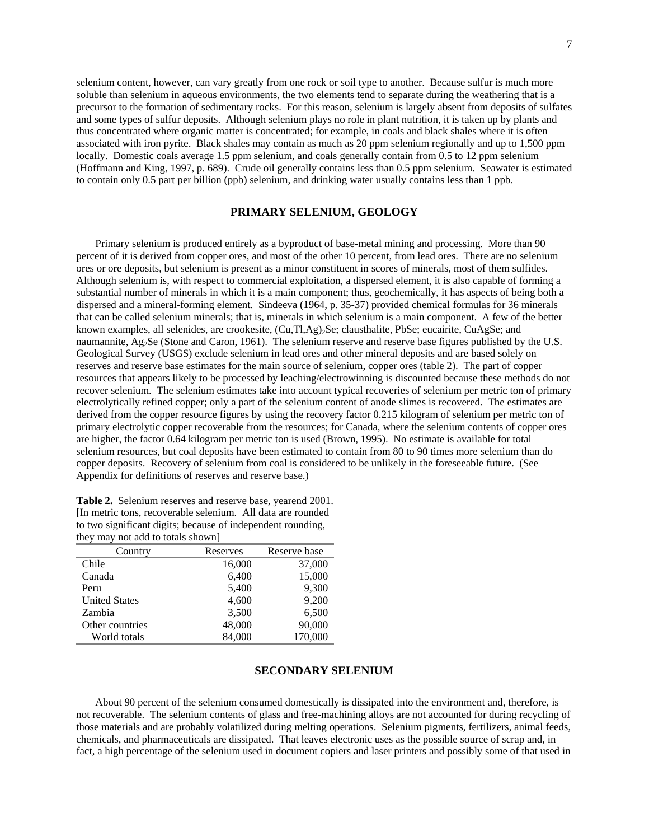selenium content, however, can vary greatly from one rock or soil type to another. Because sulfur is much more soluble than selenium in aqueous environments, the two elements tend to separate during the weathering that is a precursor to the formation of sedimentary rocks. For this reason, selenium is largely absent from deposits of sulfates and some types of sulfur deposits. Although selenium plays no role in plant nutrition, it is taken up by plants and thus concentrated where organic matter is concentrated; for example, in coals and black shales where it is often associated with iron pyrite. Black shales may contain as much as 20 ppm selenium regionally and up to 1,500 ppm locally. Domestic coals average 1.5 ppm selenium, and coals generally contain from 0.5 to 12 ppm selenium (Hoffmann and King, 1997, p. 689). Crude oil generally contains less than 0.5 ppm selenium. Seawater is estimated to contain only 0.5 part per billion (ppb) selenium, and drinking water usually contains less than 1 ppb.

#### **PRIMARY SELENIUM, GEOLOGY**

Primary selenium is produced entirely as a byproduct of base-metal mining and processing. More than 90 percent of it is derived from copper ores, and most of the other 10 percent, from lead ores. There are no selenium ores or ore deposits, but selenium is present as a minor constituent in scores of minerals, most of them sulfides. Although selenium is, with respect to commercial exploitation, a dispersed element, it is also capable of forming a substantial number of minerals in which it is a main component; thus, geochemically, it has aspects of being both a dispersed and a mineral-forming element. Sindeeva (1964, p. 35-37) provided chemical formulas for 36 minerals that can be called selenium minerals; that is, minerals in which selenium is a main component. A few of the better known examples, all selenides, are crookesite,  $(Cu, Tl, Ag)_{2}Se$ ; clausthalite, PbSe; eucairite, CuAgSe; and naumannite, Ag<sub>2</sub>Se (Stone and Caron, 1961). The selenium reserve and reserve base figures published by the U.S. Geological Survey (USGS) exclude selenium in lead ores and other mineral deposits and are based solely on reserves and reserve base estimates for the main source of selenium, copper ores (table 2). The part of copper resources that appears likely to be processed by leaching/electrowinning is discounted because these methods do not recover selenium. The selenium estimates take into account typical recoveries of selenium per metric ton of primary electrolytically refined copper; only a part of the selenium content of anode slimes is recovered. The estimates are derived from the copper resource figures by using the recovery factor 0.215 kilogram of selenium per metric ton of primary electrolytic copper recoverable from the resources; for Canada, where the selenium contents of copper ores are higher, the factor 0.64 kilogram per metric ton is used (Brown, 1995). No estimate is available for total selenium resources, but coal deposits have been estimated to contain from 80 to 90 times more selenium than do copper deposits. Recovery of selenium from coal is considered to be unlikely in the foreseeable future. (See Appendix for definitions of reserves and reserve base.)

| they may not add to totals shown |          |              |  |  |  |  |  |
|----------------------------------|----------|--------------|--|--|--|--|--|
| Country                          | Reserves | Reserve base |  |  |  |  |  |
| Chile                            | 16,000   | 37,000       |  |  |  |  |  |
| Canada                           | 6,400    | 15,000       |  |  |  |  |  |
| Peru                             | 5,400    | 9,300        |  |  |  |  |  |
| <b>United States</b>             | 4,600    | 9,200        |  |  |  |  |  |
| Zambia                           | 3,500    | 6,500        |  |  |  |  |  |
| Other countries                  | 48,000   | 90,000       |  |  |  |  |  |
| World totals                     | 84,000   | 170,000      |  |  |  |  |  |

**Table 2.** Selenium reserves and reserve base, yearend 2001. [In metric tons, recoverable selenium. All data are rounded to two significant digits; because of independent rounding,  $\frac{1}{\sqrt{2}}$  may not a double

#### **SECONDARY SELENIUM**

About 90 percent of the selenium consumed domestically is dissipated into the environment and, therefore, is not recoverable. The selenium contents of glass and free-machining alloys are not accounted for during recycling of those materials and are probably volatilized during melting operations. Selenium pigments, fertilizers, animal feeds, chemicals, and pharmaceuticals are dissipated. That leaves electronic uses as the possible source of scrap and, in fact, a high percentage of the selenium used in document copiers and laser printers and possibly some of that used in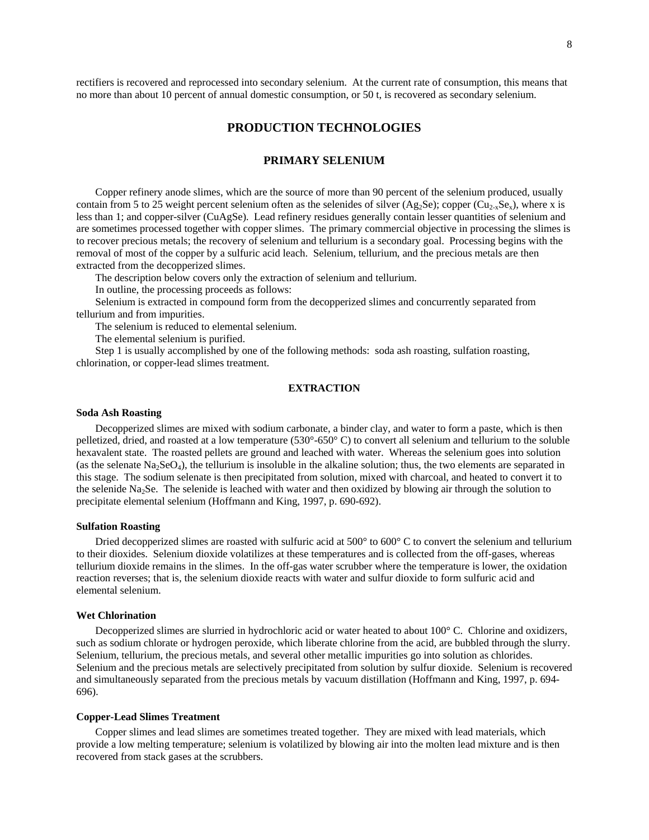rectifiers is recovered and reprocessed into secondary selenium. At the current rate of consumption, this means that no more than about 10 percent of annual domestic consumption, or 50 t, is recovered as secondary selenium.

## **PRODUCTION TECHNOLOGIES**

## **PRIMARY SELENIUM**

Copper refinery anode slimes, which are the source of more than 90 percent of the selenium produced, usually contain from 5 to 25 weight percent selenium often as the selenides of silver (Ag<sub>2</sub>Se); copper (Cu<sub>2-x</sub>Se<sub>x</sub>), where x is less than 1; and copper-silver (CuAgSe). Lead refinery residues generally contain lesser quantities of selenium and are sometimes processed together with copper slimes. The primary commercial objective in processing the slimes is to recover precious metals; the recovery of selenium and tellurium is a secondary goal. Processing begins with the removal of most of the copper by a sulfuric acid leach. Selenium, tellurium, and the precious metals are then extracted from the decopperized slimes.

The description below covers only the extraction of selenium and tellurium.

In outline, the processing proceeds as follows:

Selenium is extracted in compound form from the decopperized slimes and concurrently separated from tellurium and from impurities.

The selenium is reduced to elemental selenium.

The elemental selenium is purified.

Step 1 is usually accomplished by one of the following methods: soda ash roasting, sulfation roasting, chlorination, or copper-lead slimes treatment.

## **EXTRACTION**

#### **Soda Ash Roasting**

Decopperized slimes are mixed with sodium carbonate, a binder clay, and water to form a paste, which is then pelletized, dried, and roasted at a low temperature (530°-650° C) to convert all selenium and tellurium to the soluble hexavalent state. The roasted pellets are ground and leached with water. Whereas the selenium goes into solution (as the selenate  $Na_2SeO_4$ ), the tellurium is insoluble in the alkaline solution; thus, the two elements are separated in this stage. The sodium selenate is then precipitated from solution, mixed with charcoal, and heated to convert it to the selenide Na2Se. The selenide is leached with water and then oxidized by blowing air through the solution to precipitate elemental selenium (Hoffmann and King, 1997, p. 690-692).

#### **Sulfation Roasting**

Dried decopperized slimes are roasted with sulfuric acid at  $500^{\circ}$  to  $600^{\circ}$  C to convert the selenium and tellurium to their dioxides. Selenium dioxide volatilizes at these temperatures and is collected from the off-gases, whereas tellurium dioxide remains in the slimes. In the off-gas water scrubber where the temperature is lower, the oxidation reaction reverses; that is, the selenium dioxide reacts with water and sulfur dioxide to form sulfuric acid and elemental selenium.

#### **Wet Chlorination**

Decopperized slimes are slurried in hydrochloric acid or water heated to about 100° C. Chlorine and oxidizers, such as sodium chlorate or hydrogen peroxide, which liberate chlorine from the acid, are bubbled through the slurry. Selenium, tellurium, the precious metals, and several other metallic impurities go into solution as chlorides. Selenium and the precious metals are selectively precipitated from solution by sulfur dioxide. Selenium is recovered and simultaneously separated from the precious metals by vacuum distillation (Hoffmann and King, 1997, p. 694- 696).

## **Copper-Lead Slimes Treatment**

Copper slimes and lead slimes are sometimes treated together. They are mixed with lead materials, which provide a low melting temperature; selenium is volatilized by blowing air into the molten lead mixture and is then recovered from stack gases at the scrubbers.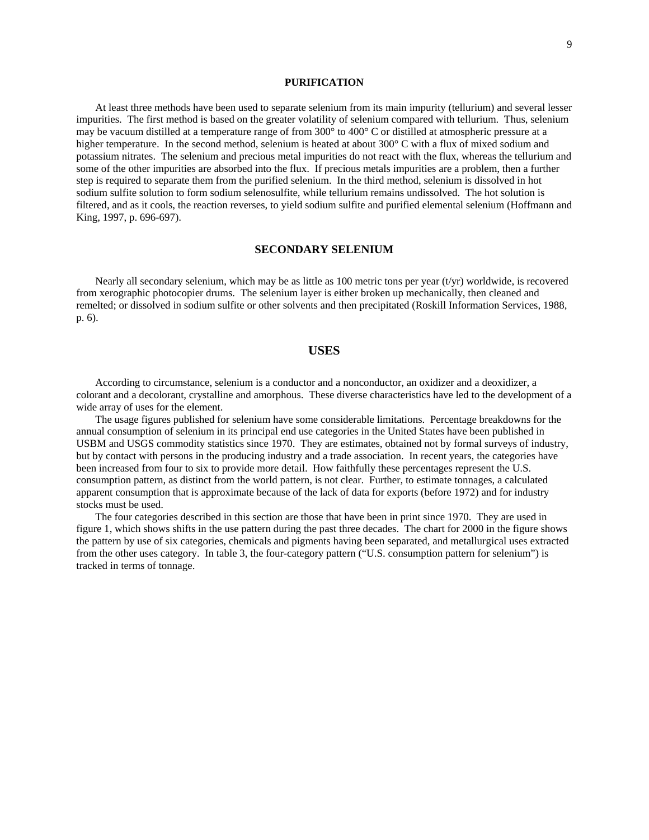## **PURIFICATION**

At least three methods have been used to separate selenium from its main impurity (tellurium) and several lesser impurities. The first method is based on the greater volatility of selenium compared with tellurium. Thus, selenium may be vacuum distilled at a temperature range of from 300° to 400° C or distilled at atmospheric pressure at a higher temperature. In the second method, selenium is heated at about 300° C with a flux of mixed sodium and potassium nitrates. The selenium and precious metal impurities do not react with the flux, whereas the tellurium and some of the other impurities are absorbed into the flux. If precious metals impurities are a problem, then a further step is required to separate them from the purified selenium. In the third method, selenium is dissolved in hot sodium sulfite solution to form sodium selenosulfite, while tellurium remains undissolved. The hot solution is filtered, and as it cools, the reaction reverses, to yield sodium sulfite and purified elemental selenium (Hoffmann and King, 1997, p. 696-697).

#### **SECONDARY SELENIUM**

Nearly all secondary selenium, which may be as little as 100 metric tons per year (t/yr) worldwide, is recovered from xerographic photocopier drums. The selenium layer is either broken up mechanically, then cleaned and remelted; or dissolved in sodium sulfite or other solvents and then precipitated (Roskill Information Services, 1988, p. 6).

## **USES**

According to circumstance, selenium is a conductor and a nonconductor, an oxidizer and a deoxidizer, a colorant and a decolorant, crystalline and amorphous. These diverse characteristics have led to the development of a wide array of uses for the element.

The usage figures published for selenium have some considerable limitations. Percentage breakdowns for the annual consumption of selenium in its principal end use categories in the United States have been published in USBM and USGS commodity statistics since 1970. They are estimates, obtained not by formal surveys of industry, but by contact with persons in the producing industry and a trade association. In recent years, the categories have been increased from four to six to provide more detail. How faithfully these percentages represent the U.S. consumption pattern, as distinct from the world pattern, is not clear. Further, to estimate tonnages, a calculated apparent consumption that is approximate because of the lack of data for exports (before 1972) and for industry stocks must be used.

The four categories described in this section are those that have been in print since 1970. They are used in figure 1, which shows shifts in the use pattern during the past three decades. The chart for 2000 in the figure shows the pattern by use of six categories, chemicals and pigments having been separated, and metallurgical uses extracted from the other uses category. In table 3, the four-category pattern ("U.S. consumption pattern for selenium") is tracked in terms of tonnage.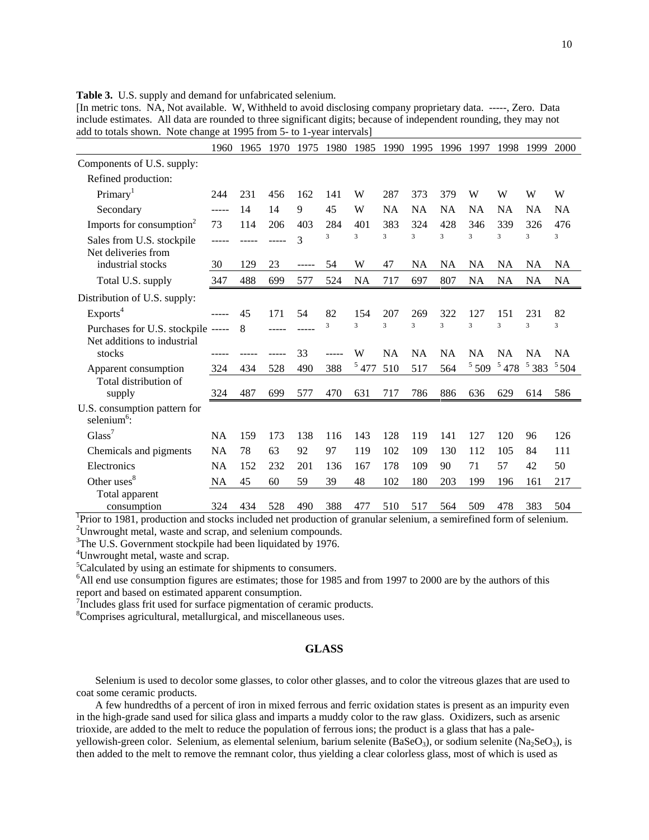| $\alpha$ to tomals shown. Those enting                            |           |      | $\sqrt{a}$ (1) $\sqrt{b}$ (1) $\frac{1}{2}$ (1) $\frac{1}{2}$ |       |      |                         |                         |                         |                         |                         |               |                         |           |
|-------------------------------------------------------------------|-----------|------|---------------------------------------------------------------|-------|------|-------------------------|-------------------------|-------------------------|-------------------------|-------------------------|---------------|-------------------------|-----------|
|                                                                   | 1960      | 1965 | 1970                                                          | 1975  | 1980 | 1985                    | 1990                    | 1995                    | 1996                    | 1997                    | 1998          | 1999                    | 2000      |
| Components of U.S. supply:                                        |           |      |                                                               |       |      |                         |                         |                         |                         |                         |               |                         |           |
| Refined production:                                               |           |      |                                                               |       |      |                         |                         |                         |                         |                         |               |                         |           |
| Primary <sup>1</sup>                                              | 244       | 231  | 456                                                           | 162   | 141  | W                       | 287                     | 373                     | 379                     | W                       | W             | W                       | W         |
| Secondary                                                         | -----     | 14   | 14                                                            | 9     | 45   | W                       | <b>NA</b>               | <b>NA</b>               | <b>NA</b>               | <b>NA</b>               | <b>NA</b>     | <b>NA</b>               | <b>NA</b> |
| Imports for consumption <sup>2</sup>                              | 73        | 114  | 206                                                           | 403   | 284  | 401                     | 383                     | 324                     | 428                     | 346                     | 339           | 326                     | 476       |
| Sales from U.S. stockpile<br>Net deliveries from                  |           |      |                                                               | 3     | 3    | 3                       | 3                       | 3                       | $\overline{\mathbf{3}}$ | $\overline{\mathbf{3}}$ | 3             | 3                       | 3         |
| industrial stocks                                                 | 30        | 129  | 23                                                            | ----- | 54   | W                       | 47                      | NA                      | <b>NA</b>               | NA                      | <b>NA</b>     | NA                      | NA        |
| Total U.S. supply                                                 | 347       | 488  | 699                                                           | 577   | 524  | <b>NA</b>               | 717                     | 697                     | 807                     | <b>NA</b>               | <b>NA</b>     | <b>NA</b>               | <b>NA</b> |
| Distribution of U.S. supply:                                      |           |      |                                                               |       |      |                         |                         |                         |                         |                         |               |                         |           |
| Exports <sup>4</sup>                                              |           | 45   | 171                                                           | 54    | 82   | 154                     | 207                     | 269                     | 322                     | 127                     | 151           | 231                     | 82        |
| Purchases for U.S. stockpile -----<br>Net additions to industrial |           | 8    | -----                                                         |       | 3    | $\overline{\mathbf{3}}$ | $\overline{\mathbf{3}}$ | $\overline{\mathbf{3}}$ | $\overline{\mathbf{3}}$ | 3                       | 3             | $\overline{\mathbf{3}}$ | 3         |
| stocks                                                            |           |      |                                                               | 33    |      | W                       | <b>NA</b>               | <b>NA</b>               | <b>NA</b>               | <b>NA</b>               | <b>NA</b>     | <b>NA</b>               | <b>NA</b> |
| Apparent consumption                                              | 324       | 434  | 528                                                           | 490   | 388  | 5477                    | 510                     | 517                     | 564                     | $5\,509$                | $^5$ 478 $\,$ | 5383                    | 5504      |
| Total distribution of<br>supply                                   | 324       | 487  | 699                                                           | 577   | 470  | 631                     | 717                     | 786                     | 886                     | 636                     | 629           | 614                     | 586       |
| U.S. consumption pattern for<br>selenium $6$ :                    |           |      |                                                               |       |      |                         |                         |                         |                         |                         |               |                         |           |
| Glass <sup>7</sup>                                                | <b>NA</b> | 159  | 173                                                           | 138   | 116  | 143                     | 128                     | 119                     | 141                     | 127                     | 120           | 96                      | 126       |
| Chemicals and pigments                                            | <b>NA</b> | 78   | 63                                                            | 92    | 97   | 119                     | 102                     | 109                     | 130                     | 112                     | 105           | 84                      | 111       |
| Electronics                                                       | <b>NA</b> | 152  | 232                                                           | 201   | 136  | 167                     | 178                     | 109                     | 90                      | 71                      | 57            | 42                      | 50        |
| Other uses <sup>8</sup>                                           | <b>NA</b> | 45   | 60                                                            | 59    | 39   | 48                      | 102                     | 180                     | 203                     | 199                     | 196           | 161                     | 217       |
| Total apparent                                                    |           |      |                                                               |       |      |                         |                         |                         |                         |                         |               |                         |           |
| consumption                                                       | 324       | 434  | 528                                                           | 490   | 388  | 477                     | 510                     | 517                     | 564                     | 509                     | 478           | 383                     | 504       |

**Table 3.** U.S. supply and demand for unfabricated selenium.

[In metric tons. NA, Not available. W, Withheld to avoid disclosing company proprietary data. -----, Zero. Data include estimates. All data are rounded to three significant digits; because of independent rounding, they may not add to totals shown. Note change at 1995 from 5- to 1-year intervals]

consumption 324 434 528 490 388 477 510 517 564 509 478 383 504 1 Prior to 1981, production and stocks included net production of granular selenium, a semirefined form of selenium.  $2$ Unwrought metal, waste and scrap, and selenium compounds.

<sup>3</sup>The U.S. Government stockpile had been liquidated by 1976.

4 Unwrought metal, waste and scrap.

<sup>5</sup>Calculated by using an estimate for shipments to consumers.

<sup>6</sup>All end use consumption figures are estimates; those for 1985 and from 1997 to 2000 are by the authors of this report and based on estimated apparent consumption.

<sup>7</sup>Includes glass frit used for surface pigmentation of ceramic products.

8 Comprises agricultural, metallurgical, and miscellaneous uses.

## **GLASS**

Selenium is used to decolor some glasses, to color other glasses, and to color the vitreous glazes that are used to coat some ceramic products.

A few hundredths of a percent of iron in mixed ferrous and ferric oxidation states is present as an impurity even in the high-grade sand used for silica glass and imparts a muddy color to the raw glass. Oxidizers, such as arsenic trioxide, are added to the melt to reduce the population of ferrous ions; the product is a glass that has a paleyellowish-green color. Selenium, as elemental selenium, barium selenite (BaSeO<sub>3</sub>), or sodium selenite (Na<sub>2</sub>SeO<sub>3</sub>), is then added to the melt to remove the remnant color, thus yielding a clear colorless glass, most of which is used as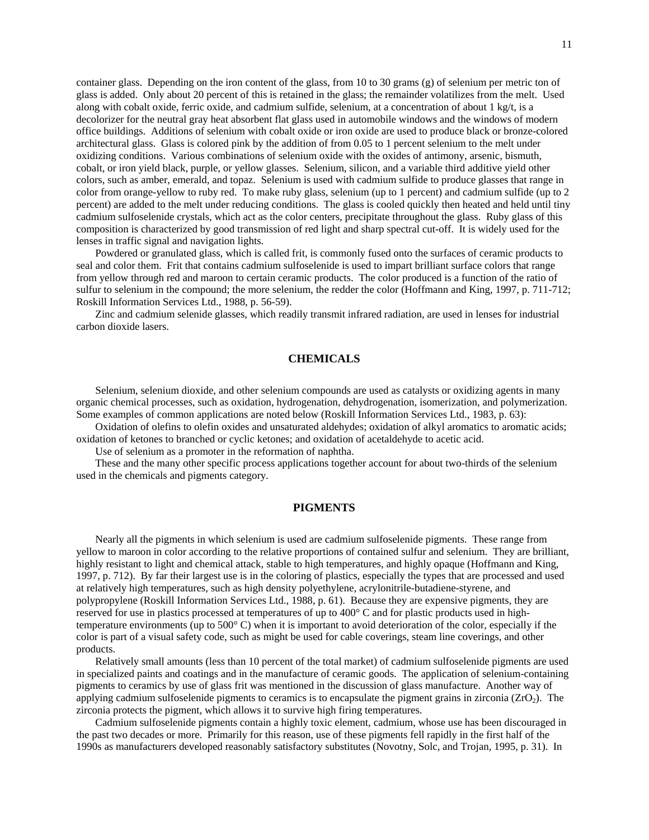container glass. Depending on the iron content of the glass, from 10 to 30 grams (g) of selenium per metric ton of glass is added. Only about 20 percent of this is retained in the glass; the remainder volatilizes from the melt. Used along with cobalt oxide, ferric oxide, and cadmium sulfide, selenium, at a concentration of about 1 kg/t, is a decolorizer for the neutral gray heat absorbent flat glass used in automobile windows and the windows of modern office buildings. Additions of selenium with cobalt oxide or iron oxide are used to produce black or bronze-colored architectural glass. Glass is colored pink by the addition of from 0.05 to 1 percent selenium to the melt under oxidizing conditions. Various combinations of selenium oxide with the oxides of antimony, arsenic, bismuth, cobalt, or iron yield black, purple, or yellow glasses. Selenium, silicon, and a variable third additive yield other colors, such as amber, emerald, and topaz. Selenium is used with cadmium sulfide to produce glasses that range in color from orange-yellow to ruby red. To make ruby glass, selenium (up to 1 percent) and cadmium sulfide (up to 2 percent) are added to the melt under reducing conditions. The glass is cooled quickly then heated and held until tiny cadmium sulfoselenide crystals, which act as the color centers, precipitate throughout the glass. Ruby glass of this composition is characterized by good transmission of red light and sharp spectral cut-off. It is widely used for the lenses in traffic signal and navigation lights.

Powdered or granulated glass, which is called frit, is commonly fused onto the surfaces of ceramic products to seal and color them. Frit that contains cadmium sulfoselenide is used to impart brilliant surface colors that range from yellow through red and maroon to certain ceramic products. The color produced is a function of the ratio of sulfur to selenium in the compound; the more selenium, the redder the color (Hoffmann and King, 1997, p. 711-712; Roskill Information Services Ltd., 1988, p. 56-59).

Zinc and cadmium selenide glasses, which readily transmit infrared radiation, are used in lenses for industrial carbon dioxide lasers.

## **CHEMICALS**

Selenium, selenium dioxide, and other selenium compounds are used as catalysts or oxidizing agents in many organic chemical processes, such as oxidation, hydrogenation, dehydrogenation, isomerization, and polymerization. Some examples of common applications are noted below (Roskill Information Services Ltd., 1983, p. 63):

Oxidation of olefins to olefin oxides and unsaturated aldehydes; oxidation of alkyl aromatics to aromatic acids; oxidation of ketones to branched or cyclic ketones; and oxidation of acetaldehyde to acetic acid.

Use of selenium as a promoter in the reformation of naphtha.

These and the many other specific process applications together account for about two-thirds of the selenium used in the chemicals and pigments category.

## **PIGMENTS**

Nearly all the pigments in which selenium is used are cadmium sulfoselenide pigments. These range from yellow to maroon in color according to the relative proportions of contained sulfur and selenium. They are brilliant, highly resistant to light and chemical attack, stable to high temperatures, and highly opaque (Hoffmann and King, 1997, p. 712). By far their largest use is in the coloring of plastics, especially the types that are processed and used at relatively high temperatures, such as high density polyethylene, acrylonitrile-butadiene-styrene, and polypropylene (Roskill Information Services Ltd., 1988, p. 61). Because they are expensive pigments, they are reserved for use in plastics processed at temperatures of up to 400° C and for plastic products used in hightemperature environments (up to 500° C) when it is important to avoid deterioration of the color, especially if the color is part of a visual safety code, such as might be used for cable coverings, steam line coverings, and other products.

Relatively small amounts (less than 10 percent of the total market) of cadmium sulfoselenide pigments are used in specialized paints and coatings and in the manufacture of ceramic goods. The application of selenium-containing pigments to ceramics by use of glass frit was mentioned in the discussion of glass manufacture. Another way of applying cadmium sulfoselenide pigments to ceramics is to encapsulate the pigment grains in zirconia ( $ZrO<sub>2</sub>$ ). The zirconia protects the pigment, which allows it to survive high firing temperatures.

Cadmium sulfoselenide pigments contain a highly toxic element, cadmium, whose use has been discouraged in the past two decades or more. Primarily for this reason, use of these pigments fell rapidly in the first half of the 1990s as manufacturers developed reasonably satisfactory substitutes (Novotny, Solc, and Trojan, 1995, p. 31). In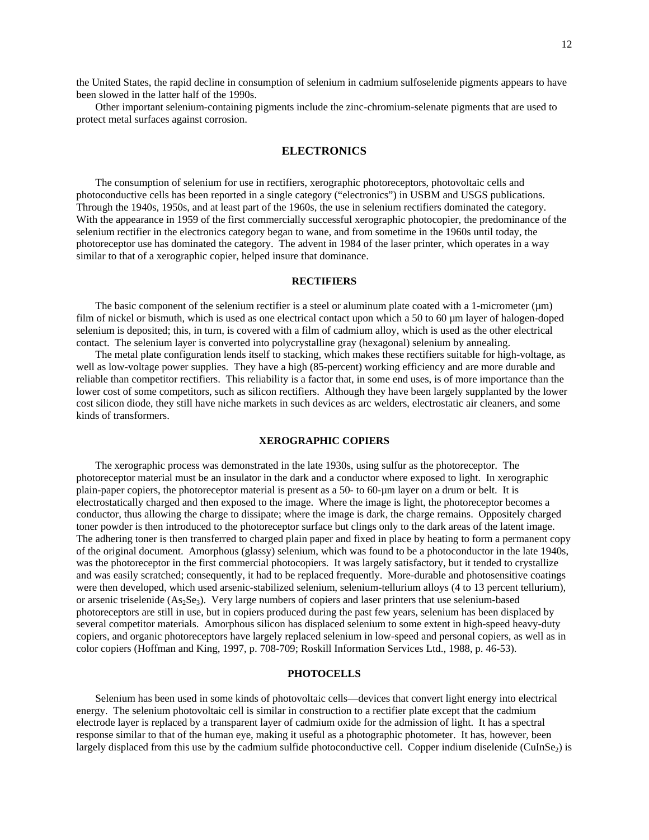12

the United States, the rapid decline in consumption of selenium in cadmium sulfoselenide pigments appears to have been slowed in the latter half of the 1990s.

Other important selenium-containing pigments include the zinc-chromium-selenate pigments that are used to protect metal surfaces against corrosion.

## **ELECTRONICS**

The consumption of selenium for use in rectifiers, xerographic photoreceptors, photovoltaic cells and photoconductive cells has been reported in a single category ("electronics") in USBM and USGS publications. Through the 1940s, 1950s, and at least part of the 1960s, the use in selenium rectifiers dominated the category. With the appearance in 1959 of the first commercially successful xerographic photocopier, the predominance of the selenium rectifier in the electronics category began to wane, and from sometime in the 1960s until today, the photoreceptor use has dominated the category. The advent in 1984 of the laser printer, which operates in a way similar to that of a xerographic copier, helped insure that dominance.

#### **RECTIFIERS**

The basic component of the selenium rectifier is a steel or aluminum plate coated with a 1-micrometer ( $\mu$ m) film of nickel or bismuth, which is used as one electrical contact upon which a 50 to 60  $\mu$ m layer of halogen-doped selenium is deposited; this, in turn, is covered with a film of cadmium alloy, which is used as the other electrical contact. The selenium layer is converted into polycrystalline gray (hexagonal) selenium by annealing.

The metal plate configuration lends itself to stacking, which makes these rectifiers suitable for high-voltage, as well as low-voltage power supplies. They have a high (85-percent) working efficiency and are more durable and reliable than competitor rectifiers. This reliability is a factor that, in some end uses, is of more importance than the lower cost of some competitors, such as silicon rectifiers. Although they have been largely supplanted by the lower cost silicon diode, they still have niche markets in such devices as arc welders, electrostatic air cleaners, and some kinds of transformers.

## **XEROGRAPHIC COPIERS**

The xerographic process was demonstrated in the late 1930s, using sulfur as the photoreceptor. The photoreceptor material must be an insulator in the dark and a conductor where exposed to light. In xerographic plain-paper copiers, the photoreceptor material is present as a 50- to 60-µm layer on a drum or belt. It is electrostatically charged and then exposed to the image. Where the image is light, the photoreceptor becomes a conductor, thus allowing the charge to dissipate; where the image is dark, the charge remains. Oppositely charged toner powder is then introduced to the photoreceptor surface but clings only to the dark areas of the latent image. The adhering toner is then transferred to charged plain paper and fixed in place by heating to form a permanent copy of the original document. Amorphous (glassy) selenium, which was found to be a photoconductor in the late 1940s, was the photoreceptor in the first commercial photocopiers. It was largely satisfactory, but it tended to crystallize and was easily scratched; consequently, it had to be replaced frequently. More-durable and photosensitive coatings were then developed, which used arsenic-stabilized selenium, selenium-tellurium alloys (4 to 13 percent tellurium), or arsenic triselenide  $(As<sub>2</sub>Se<sub>3</sub>)$ . Very large numbers of copiers and laser printers that use selenium-based photoreceptors are still in use, but in copiers produced during the past few years, selenium has been displaced by several competitor materials. Amorphous silicon has displaced selenium to some extent in high-speed heavy-duty copiers, and organic photoreceptors have largely replaced selenium in low-speed and personal copiers, as well as in color copiers (Hoffman and King, 1997, p. 708-709; Roskill Information Services Ltd., 1988, p. 46-53).

#### **PHOTOCELLS**

Selenium has been used in some kinds of photovoltaic cells—devices that convert light energy into electrical energy. The selenium photovoltaic cell is similar in construction to a rectifier plate except that the cadmium electrode layer is replaced by a transparent layer of cadmium oxide for the admission of light. It has a spectral response similar to that of the human eye, making it useful as a photographic photometer. It has, however, been largely displaced from this use by the cadmium sulfide photoconductive cell. Copper indium diselenide (CuInSe<sub>2</sub>) is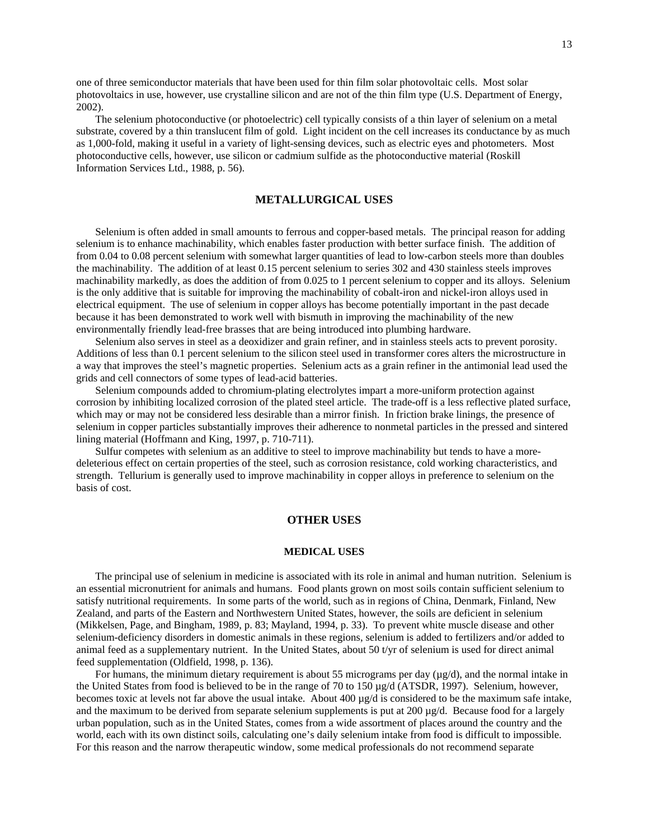one of three semiconductor materials that have been used for thin film solar photovoltaic cells. Most solar photovoltaics in use, however, use crystalline silicon and are not of the thin film type (U.S. Department of Energy, 2002).

The selenium photoconductive (or photoelectric) cell typically consists of a thin layer of selenium on a metal substrate, covered by a thin translucent film of gold. Light incident on the cell increases its conductance by as much as 1,000-fold, making it useful in a variety of light-sensing devices, such as electric eyes and photometers. Most photoconductive cells, however, use silicon or cadmium sulfide as the photoconductive material (Roskill Information Services Ltd., 1988, p. 56).

## **METALLURGICAL USES**

Selenium is often added in small amounts to ferrous and copper-based metals. The principal reason for adding selenium is to enhance machinability, which enables faster production with better surface finish. The addition of from 0.04 to 0.08 percent selenium with somewhat larger quantities of lead to low-carbon steels more than doubles the machinability. The addition of at least 0.15 percent selenium to series 302 and 430 stainless steels improves machinability markedly, as does the addition of from 0.025 to 1 percent selenium to copper and its alloys. Selenium is the only additive that is suitable for improving the machinability of cobalt-iron and nickel-iron alloys used in electrical equipment. The use of selenium in copper alloys has become potentially important in the past decade because it has been demonstrated to work well with bismuth in improving the machinability of the new environmentally friendly lead-free brasses that are being introduced into plumbing hardware.

Selenium also serves in steel as a deoxidizer and grain refiner, and in stainless steels acts to prevent porosity. Additions of less than 0.1 percent selenium to the silicon steel used in transformer cores alters the microstructure in a way that improves the steel's magnetic properties. Selenium acts as a grain refiner in the antimonial lead used the grids and cell connectors of some types of lead-acid batteries.

Selenium compounds added to chromium-plating electrolytes impart a more-uniform protection against corrosion by inhibiting localized corrosion of the plated steel article. The trade-off is a less reflective plated surface, which may or may not be considered less desirable than a mirror finish. In friction brake linings, the presence of selenium in copper particles substantially improves their adherence to nonmetal particles in the pressed and sintered lining material (Hoffmann and King, 1997, p. 710-711).

Sulfur competes with selenium as an additive to steel to improve machinability but tends to have a moredeleterious effect on certain properties of the steel, such as corrosion resistance, cold working characteristics, and strength. Tellurium is generally used to improve machinability in copper alloys in preference to selenium on the basis of cost.

## **OTHER USES**

#### **MEDICAL USES**

The principal use of selenium in medicine is associated with its role in animal and human nutrition. Selenium is an essential micronutrient for animals and humans. Food plants grown on most soils contain sufficient selenium to satisfy nutritional requirements. In some parts of the world, such as in regions of China, Denmark, Finland, New Zealand, and parts of the Eastern and Northwestern United States, however, the soils are deficient in selenium (Mikkelsen, Page, and Bingham, 1989, p. 83; Mayland, 1994, p. 33). To prevent white muscle disease and other selenium-deficiency disorders in domestic animals in these regions, selenium is added to fertilizers and/or added to animal feed as a supplementary nutrient. In the United States, about 50 t/yr of selenium is used for direct animal feed supplementation (Oldfield, 1998, p. 136).

For humans, the minimum dietary requirement is about 55 micrograms per day  $(\mu g/d)$ , and the normal intake in the United States from food is believed to be in the range of 70 to 150 µg/d (ATSDR, 1997). Selenium, however, becomes toxic at levels not far above the usual intake. About 400 µg/d is considered to be the maximum safe intake, and the maximum to be derived from separate selenium supplements is put at  $200 \mu g/d$ . Because food for a largely urban population, such as in the United States, comes from a wide assortment of places around the country and the world, each with its own distinct soils, calculating one's daily selenium intake from food is difficult to impossible. For this reason and the narrow therapeutic window, some medical professionals do not recommend separate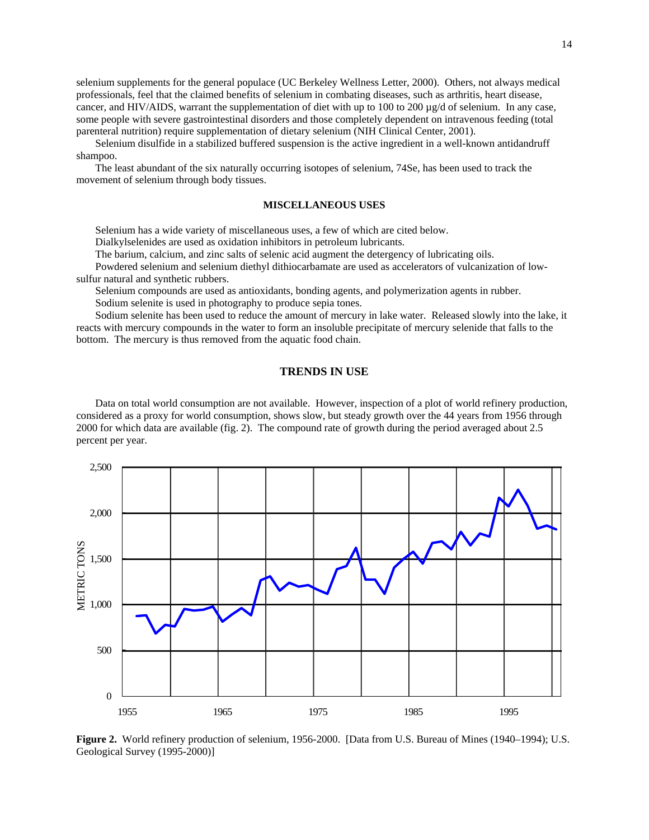selenium supplements for the general populace (UC Berkeley Wellness Letter, 2000). Others, not always medical professionals, feel that the claimed benefits of selenium in combating diseases, such as arthritis, heart disease, cancer, and HIV/AIDS, warrant the supplementation of diet with up to 100 to 200  $\mu$ g/d of selenium. In any case, some people with severe gastrointestinal disorders and those completely dependent on intravenous feeding (total parenteral nutrition) require supplementation of dietary selenium (NIH Clinical Center, 2001).

Selenium disulfide in a stabilized buffered suspension is the active ingredient in a well-known antidandruff shampoo.

The least abundant of the six naturally occurring isotopes of selenium, 74Se, has been used to track the movement of selenium through body tissues.

## **MISCELLANEOUS USES**

Selenium has a wide variety of miscellaneous uses, a few of which are cited below.

Dialkylselenides are used as oxidation inhibitors in petroleum lubricants.

The barium, calcium, and zinc salts of selenic acid augment the detergency of lubricating oils.

Powdered selenium and selenium diethyl dithiocarbamate are used as accelerators of vulcanization of lowsulfur natural and synthetic rubbers.

Selenium compounds are used as antioxidants, bonding agents, and polymerization agents in rubber. Sodium selenite is used in photography to produce sepia tones.

Sodium selenite has been used to reduce the amount of mercury in lake water. Released slowly into the lake, it

reacts with mercury compounds in the water to form an insoluble precipitate of mercury selenide that falls to the bottom. The mercury is thus removed from the aquatic food chain.

### **TRENDS IN USE**

Data on total world consumption are not available. However, inspection of a plot of world refinery production, considered as a proxy for world consumption, shows slow, but steady growth over the 44 years from 1956 through 2000 for which data are available (fig. 2). The compound rate of growth during the period averaged about 2.5 percent per year.



**Figure 2.** World refinery production of selenium, 1956-2000. [Data from U.S. Bureau of Mines (1940–1994); U.S. Geological Survey (1995-2000)]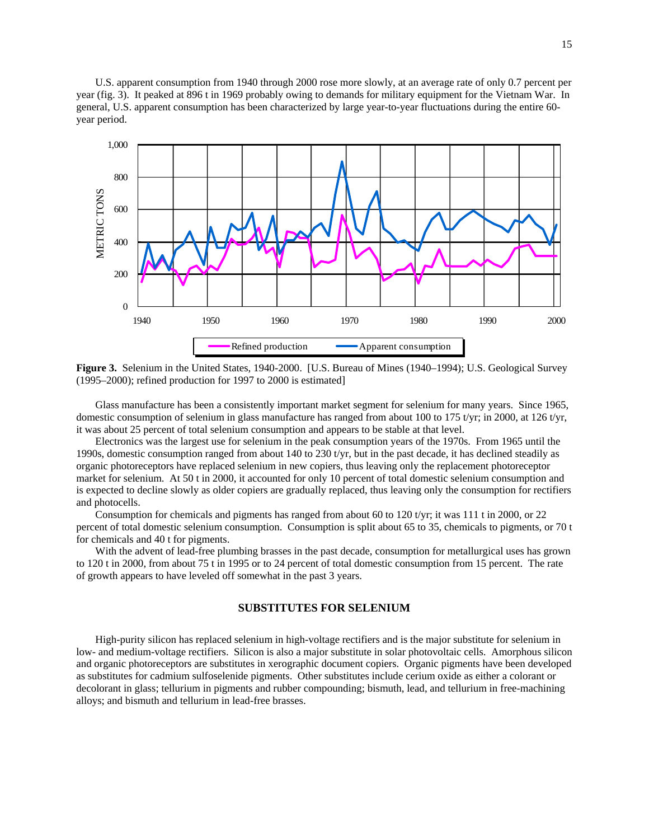U.S. apparent consumption from 1940 through 2000 rose more slowly, at an average rate of only 0.7 percent per year (fig. 3). It peaked at 896 t in 1969 probably owing to demands for military equipment for the Vietnam War. In general, U.S. apparent consumption has been characterized by large year-to-year fluctuations during the entire 60 year period.



**Figure 3.** Selenium in the United States, 1940-2000. [U.S. Bureau of Mines (1940–1994); U.S. Geological Survey (1995–2000); refined production for 1997 to 2000 is estimated]

Glass manufacture has been a consistently important market segment for selenium for many years. Since 1965, domestic consumption of selenium in glass manufacture has ranged from about 100 to 175 t/yr; in 2000, at 126 t/yr, it was about 25 percent of total selenium consumption and appears to be stable at that level.

Electronics was the largest use for selenium in the peak consumption years of the 1970s. From 1965 until the 1990s, domestic consumption ranged from about 140 to 230 t/yr, but in the past decade, it has declined steadily as organic photoreceptors have replaced selenium in new copiers, thus leaving only the replacement photoreceptor market for selenium. At 50 t in 2000, it accounted for only 10 percent of total domestic selenium consumption and is expected to decline slowly as older copiers are gradually replaced, thus leaving only the consumption for rectifiers and photocells.

Consumption for chemicals and pigments has ranged from about 60 to 120 t/yr; it was 111 t in 2000, or 22 percent of total domestic selenium consumption. Consumption is split about 65 to 35, chemicals to pigments, or 70 t for chemicals and 40 t for pigments.

With the advent of lead-free plumbing brasses in the past decade, consumption for metallurgical uses has grown to 120 t in 2000, from about 75 t in 1995 or to 24 percent of total domestic consumption from 15 percent. The rate of growth appears to have leveled off somewhat in the past 3 years.

### **SUBSTITUTES FOR SELENIUM**

High-purity silicon has replaced selenium in high-voltage rectifiers and is the major substitute for selenium in low- and medium-voltage rectifiers. Silicon is also a major substitute in solar photovoltaic cells. Amorphous silicon and organic photoreceptors are substitutes in xerographic document copiers. Organic pigments have been developed as substitutes for cadmium sulfoselenide pigments. Other substitutes include cerium oxide as either a colorant or decolorant in glass; tellurium in pigments and rubber compounding; bismuth, lead, and tellurium in free-machining alloys; and bismuth and tellurium in lead-free brasses.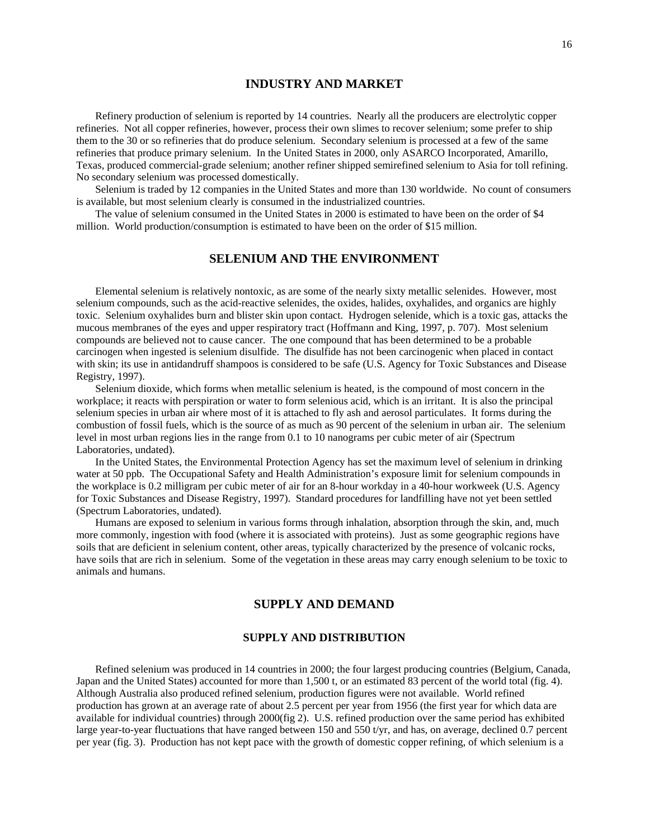## **INDUSTRY AND MARKET**

Refinery production of selenium is reported by 14 countries. Nearly all the producers are electrolytic copper refineries. Not all copper refineries, however, process their own slimes to recover selenium; some prefer to ship them to the 30 or so refineries that do produce selenium. Secondary selenium is processed at a few of the same refineries that produce primary selenium. In the United States in 2000, only ASARCO Incorporated, Amarillo, Texas, produced commercial-grade selenium; another refiner shipped semirefined selenium to Asia for toll refining. No secondary selenium was processed domestically.

Selenium is traded by 12 companies in the United States and more than 130 worldwide. No count of consumers is available, but most selenium clearly is consumed in the industrialized countries.

The value of selenium consumed in the United States in 2000 is estimated to have been on the order of \$4 million. World production/consumption is estimated to have been on the order of \$15 million.

## **SELENIUM AND THE ENVIRONMENT**

Elemental selenium is relatively nontoxic, as are some of the nearly sixty metallic selenides. However, most selenium compounds, such as the acid-reactive selenides, the oxides, halides, oxyhalides, and organics are highly toxic. Selenium oxyhalides burn and blister skin upon contact. Hydrogen selenide, which is a toxic gas, attacks the mucous membranes of the eyes and upper respiratory tract (Hoffmann and King, 1997, p. 707). Most selenium compounds are believed not to cause cancer. The one compound that has been determined to be a probable carcinogen when ingested is selenium disulfide. The disulfide has not been carcinogenic when placed in contact with skin; its use in antidandruff shampoos is considered to be safe (U.S. Agency for Toxic Substances and Disease Registry, 1997).

Selenium dioxide, which forms when metallic selenium is heated, is the compound of most concern in the workplace; it reacts with perspiration or water to form selenious acid, which is an irritant. It is also the principal selenium species in urban air where most of it is attached to fly ash and aerosol particulates. It forms during the combustion of fossil fuels, which is the source of as much as 90 percent of the selenium in urban air. The selenium level in most urban regions lies in the range from 0.1 to 10 nanograms per cubic meter of air (Spectrum Laboratories, undated).

In the United States, the Environmental Protection Agency has set the maximum level of selenium in drinking water at 50 ppb. The Occupational Safety and Health Administration's exposure limit for selenium compounds in the workplace is 0.2 milligram per cubic meter of air for an 8-hour workday in a 40-hour workweek (U.S. Agency for Toxic Substances and Disease Registry, 1997). Standard procedures for landfilling have not yet been settled (Spectrum Laboratories, undated).

Humans are exposed to selenium in various forms through inhalation, absorption through the skin, and, much more commonly, ingestion with food (where it is associated with proteins). Just as some geographic regions have soils that are deficient in selenium content, other areas, typically characterized by the presence of volcanic rocks, have soils that are rich in selenium. Some of the vegetation in these areas may carry enough selenium to be toxic to animals and humans.

## **SUPPLY AND DEMAND**

## **SUPPLY AND DISTRIBUTION**

Refined selenium was produced in 14 countries in 2000; the four largest producing countries (Belgium, Canada, Japan and the United States) accounted for more than 1,500 t, or an estimated 83 percent of the world total (fig. 4). Although Australia also produced refined selenium, production figures were not available. World refined production has grown at an average rate of about 2.5 percent per year from 1956 (the first year for which data are available for individual countries) through 2000(fig 2). U.S. refined production over the same period has exhibited large year-to-year fluctuations that have ranged between 150 and 550 t/yr, and has, on average, declined 0.7 percent per year (fig. 3). Production has not kept pace with the growth of domestic copper refining, of which selenium is a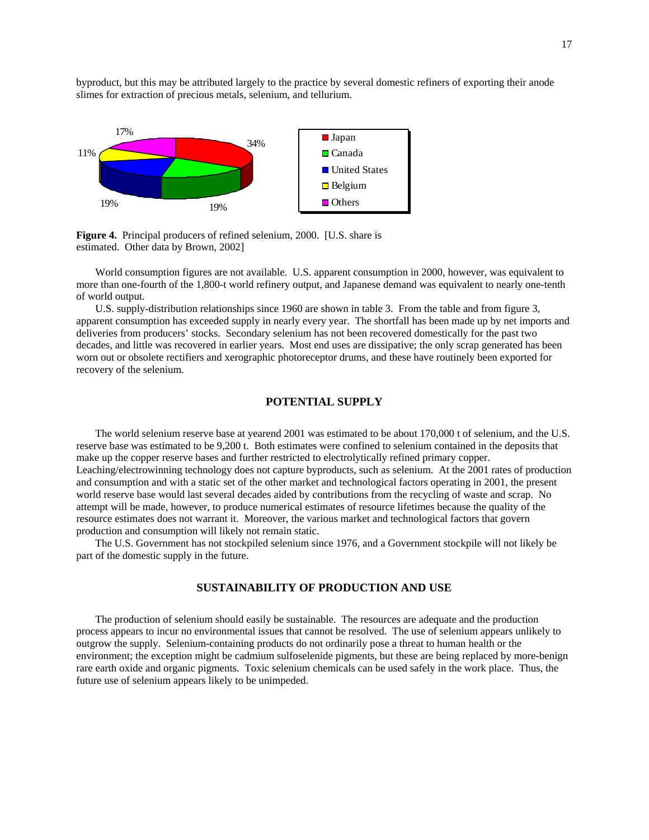byproduct, but this may be attributed largely to the practice by several domestic refiners of exporting their anode slimes for extraction of precious metals, selenium, and tellurium.



**Figure 4.** Principal producers of refined selenium, 2000. [U.S. share is estimated. Other data by Brown, 2002]

World consumption figures are not available. U.S. apparent consumption in 2000, however, was equivalent to more than one-fourth of the 1,800-t world refinery output, and Japanese demand was equivalent to nearly one-tenth of world output.

U.S. supply-distribution relationships since 1960 are shown in table 3. From the table and from figure 3, apparent consumption has exceeded supply in nearly every year. The shortfall has been made up by net imports and deliveries from producers' stocks. Secondary selenium has not been recovered domestically for the past two decades, and little was recovered in earlier years. Most end uses are dissipative; the only scrap generated has been worn out or obsolete rectifiers and xerographic photoreceptor drums, and these have routinely been exported for recovery of the selenium.

## **POTENTIAL SUPPLY**

The world selenium reserve base at yearend 2001 was estimated to be about 170,000 t of selenium, and the U.S. reserve base was estimated to be 9,200 t. Both estimates were confined to selenium contained in the deposits that make up the copper reserve bases and further restricted to electrolytically refined primary copper. Leaching/electrowinning technology does not capture byproducts, such as selenium. At the 2001 rates of production and consumption and with a static set of the other market and technological factors operating in 2001, the present world reserve base would last several decades aided by contributions from the recycling of waste and scrap. No attempt will be made, however, to produce numerical estimates of resource lifetimes because the quality of the resource estimates does not warrant it. Moreover, the various market and technological factors that govern production and consumption will likely not remain static.

The U.S. Government has not stockpiled selenium since 1976, and a Government stockpile will not likely be part of the domestic supply in the future.

## **SUSTAINABILITY OF PRODUCTION AND USE**

The production of selenium should easily be sustainable. The resources are adequate and the production process appears to incur no environmental issues that cannot be resolved. The use of selenium appears unlikely to outgrow the supply. Selenium-containing products do not ordinarily pose a threat to human health or the environment; the exception might be cadmium sulfoselenide pigments, but these are being replaced by more-benign rare earth oxide and organic pigments. Toxic selenium chemicals can be used safely in the work place. Thus, the future use of selenium appears likely to be unimpeded.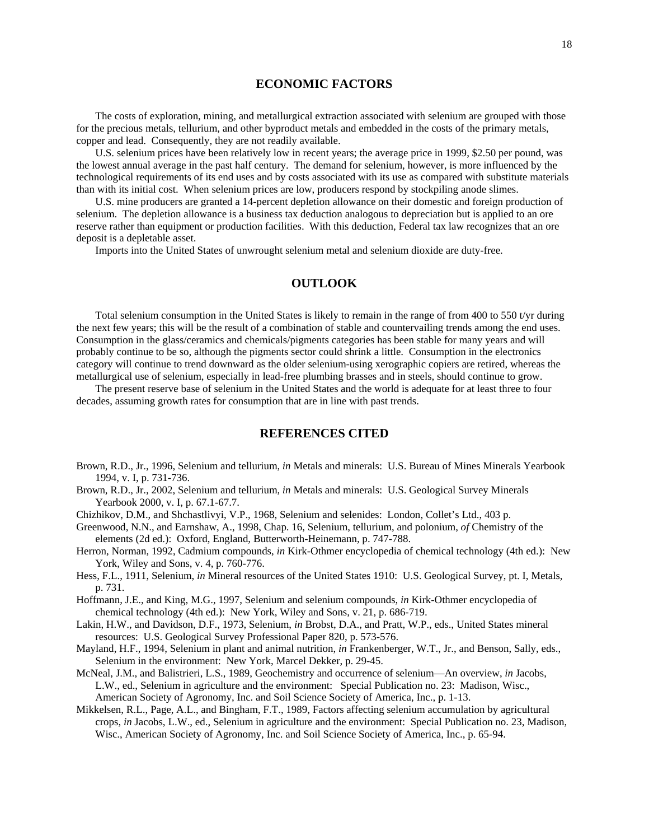## **ECONOMIC FACTORS**

The costs of exploration, mining, and metallurgical extraction associated with selenium are grouped with those for the precious metals, tellurium, and other byproduct metals and embedded in the costs of the primary metals, copper and lead. Consequently, they are not readily available.

U.S. selenium prices have been relatively low in recent years; the average price in 1999, \$2.50 per pound, was the lowest annual average in the past half century. The demand for selenium, however, is more influenced by the technological requirements of its end uses and by costs associated with its use as compared with substitute materials than with its initial cost. When selenium prices are low, producers respond by stockpiling anode slimes.

U.S. mine producers are granted a 14-percent depletion allowance on their domestic and foreign production of selenium. The depletion allowance is a business tax deduction analogous to depreciation but is applied to an ore reserve rather than equipment or production facilities. With this deduction, Federal tax law recognizes that an ore deposit is a depletable asset.

Imports into the United States of unwrought selenium metal and selenium dioxide are duty-free.

## **OUTLOOK**

Total selenium consumption in the United States is likely to remain in the range of from 400 to 550 t/yr during the next few years; this will be the result of a combination of stable and countervailing trends among the end uses. Consumption in the glass/ceramics and chemicals/pigments categories has been stable for many years and will probably continue to be so, although the pigments sector could shrink a little. Consumption in the electronics category will continue to trend downward as the older selenium-using xerographic copiers are retired, whereas the metallurgical use of selenium, especially in lead-free plumbing brasses and in steels, should continue to grow.

The present reserve base of selenium in the United States and the world is adequate for at least three to four decades, assuming growth rates for consumption that are in line with past trends.

## **REFERENCES CITED**

- Brown, R.D., Jr., 1996, Selenium and tellurium, *in* Metals and minerals: U.S. Bureau of Mines Minerals Yearbook 1994, v. I, p. 731-736.
- Brown, R.D., Jr., 2002, Selenium and tellurium, *in* Metals and minerals: U.S. Geological Survey Minerals Yearbook 2000, v. I, p. 67.1-67.7.

Chizhikov, D.M., and Shchastlivyi, V.P., 1968, Selenium and selenides: London, Collet's Ltd., 403 p.

- Greenwood, N.N., and Earnshaw, A., 1998, Chap. 16, Selenium, tellurium, and polonium, *of* Chemistry of the elements (2d ed.): Oxford, England, Butterworth-Heinemann, p. 747-788.
- Herron, Norman, 1992, Cadmium compounds, *in* Kirk-Othmer encyclopedia of chemical technology (4th ed.): New York, Wiley and Sons, v. 4, p. 760-776.
- Hess, F.L., 1911, Selenium, *in* Mineral resources of the United States 1910: U.S. Geological Survey, pt. I, Metals, p. 731.

Hoffmann, J.E., and King, M.G., 1997, Selenium and selenium compounds, *in* Kirk-Othmer encyclopedia of chemical technology (4th ed.): New York, Wiley and Sons, v. 21, p. 686-719.

- Lakin, H.W., and Davidson, D.F., 1973, Selenium, *in* Brobst, D.A., and Pratt, W.P., eds., United States mineral resources: U.S. Geological Survey Professional Paper 820, p. 573-576.
- Mayland, H.F., 1994, Selenium in plant and animal nutrition, *in* Frankenberger, W.T., Jr., and Benson, Sally, eds., Selenium in the environment: New York, Marcel Dekker, p. 29-45.
- McNeal, J.M., and Balistrieri, L.S., 1989, Geochemistry and occurrence of selenium—An overview, *in* Jacobs, L.W., ed., Selenium in agriculture and the environment: Special Publication no. 23: Madison, Wisc., American Society of Agronomy, Inc. and Soil Science Society of America, Inc., p. 1-13.
- Mikkelsen, R.L., Page, A.L., and Bingham, F.T., 1989, Factors affecting selenium accumulation by agricultural crops, *in* Jacobs, L.W., ed., Selenium in agriculture and the environment: Special Publication no. 23, Madison, Wisc., American Society of Agronomy, Inc. and Soil Science Society of America, Inc., p. 65-94.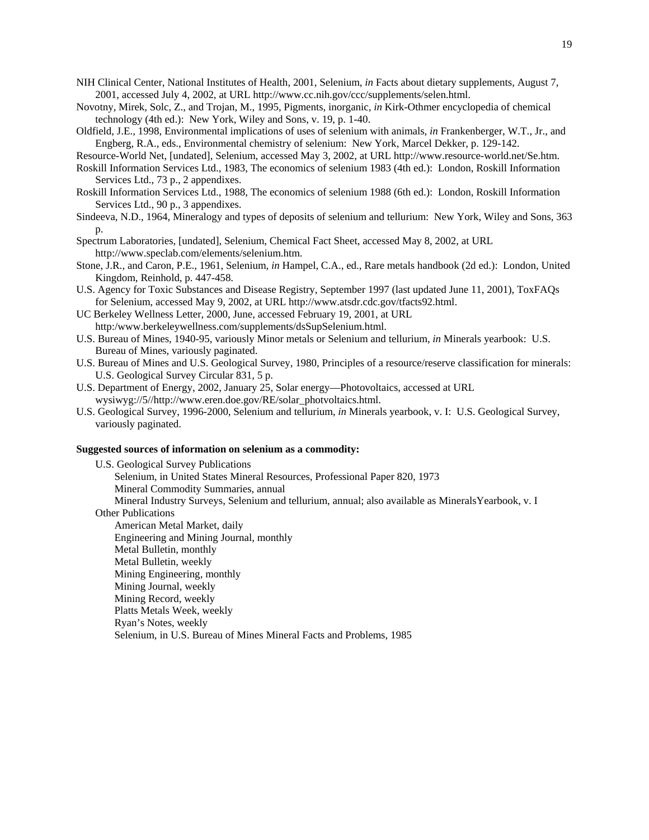- NIH Clinical Center, National Institutes of Health, 2001, Selenium, *in* Facts about dietary supplements, August 7, 2001, accessed July 4, 2002, at URL http://www.cc.nih.gov/ccc/supplements/selen.html.
- Novotny, Mirek, Solc, Z., and Trojan, M., 1995, Pigments, inorganic, *in* Kirk-Othmer encyclopedia of chemical technology (4th ed.): New York, Wiley and Sons, v. 19, p. 1-40.
- Oldfield, J.E., 1998, Environmental implications of uses of selenium with animals, *in* Frankenberger, W.T., Jr., and Engberg, R.A., eds., Environmental chemistry of selenium: New York, Marcel Dekker, p. 129-142.

Resource-World Net, [undated], Selenium, accessed May 3, 2002, at URL http://www.resource-world.net/Se.htm.

- Roskill Information Services Ltd., 1983, The economics of selenium 1983 (4th ed.): London, Roskill Information Services Ltd., 73 p., 2 appendixes.
- Roskill Information Services Ltd., 1988, The economics of selenium 1988 (6th ed.): London, Roskill Information Services Ltd., 90 p., 3 appendixes.
- Sindeeva, N.D., 1964, Mineralogy and types of deposits of selenium and tellurium: New York, Wiley and Sons, 363 p.
- Spectrum Laboratories, [undated], Selenium, Chemical Fact Sheet, accessed May 8, 2002, at URL http://www.speclab.com/elements/selenium.htm.
- Stone, J.R., and Caron, P.E., 1961, Selenium, *in* Hampel, C.A., ed., Rare metals handbook (2d ed.): London, United Kingdom, Reinhold, p. 447-458.
- U.S. Agency for Toxic Substances and Disease Registry, September 1997 (last updated June 11, 2001), ToxFAQs for Selenium, accessed May 9, 2002, at URL http://www.atsdr.cdc.gov/tfacts92.html.
- UC Berkeley Wellness Letter, 2000, June, accessed February 19, 2001, at URL http:/www.berkeleywellness.com/supplements/dsSupSelenium.html.
- U.S. Bureau of Mines, 1940-95, variously Minor metals or Selenium and tellurium, *in* Minerals yearbook: U.S. Bureau of Mines, variously paginated.
- U.S. Bureau of Mines and U.S. Geological Survey, 1980, Principles of a resource/reserve classification for minerals: U.S. Geological Survey Circular 831, 5 p.
- U.S. Department of Energy, 2002, January 25, Solar energy—Photovoltaics, accessed at URL wysiwyg://5//http://www.eren.doe.gov/RE/solar\_photvoltaics.html.
- U.S. Geological Survey, 1996-2000, Selenium and tellurium, *in* Minerals yearbook, v. I: U.S. Geological Survey, variously paginated.

#### **Suggested sources of information on selenium as a commodity:**

U.S. Geological Survey Publications Selenium, in United States Mineral Resources, Professional Paper 820, 1973 Mineral Commodity Summaries, annual Mineral Industry Surveys, Selenium and tellurium, annual; also available as MineralsYearbook, v. I Other Publications American Metal Market, daily Engineering and Mining Journal, monthly Metal Bulletin, monthly Metal Bulletin, weekly Mining Engineering, monthly Mining Journal, weekly Mining Record, weekly Platts Metals Week, weekly Ryan's Notes, weekly Selenium, in U.S. Bureau of Mines Mineral Facts and Problems, 1985